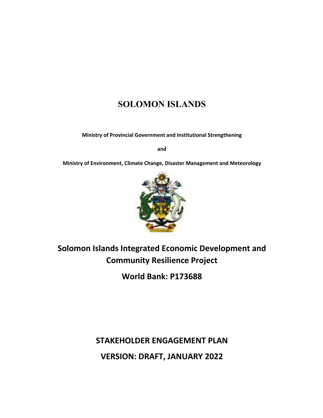# **SOLOMON ISLANDS**

**Ministry of Provincial Government and Institutional Strengthening**

**and**

**Ministry of Environment, Climate Change, Disaster Management and Meteorology**



# **Solomon Islands Integrated Economic Development and Community Resilience Project**

**World Bank: P173688**

**STAKEHOLDER ENGAGEMENT PLAN VERSION: DRAFT, JANUARY 2022**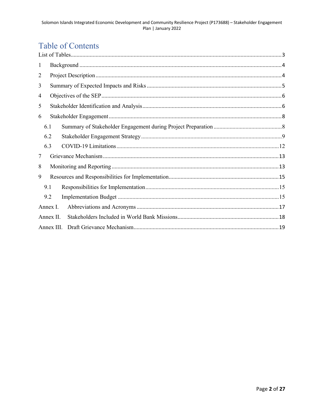# **Table of Contents**

| $\mathbf{1}$ |            |  |  |  |
|--------------|------------|--|--|--|
| 2            |            |  |  |  |
| 3            |            |  |  |  |
| 4            |            |  |  |  |
| 5            |            |  |  |  |
| 6            |            |  |  |  |
|              | 6.1        |  |  |  |
|              | 6.2        |  |  |  |
|              | 6.3        |  |  |  |
| 7            |            |  |  |  |
| 8            |            |  |  |  |
| 9            |            |  |  |  |
|              | 9.1        |  |  |  |
|              | 9.2        |  |  |  |
|              | Annex I.   |  |  |  |
|              | Annex II.  |  |  |  |
|              | Annex III. |  |  |  |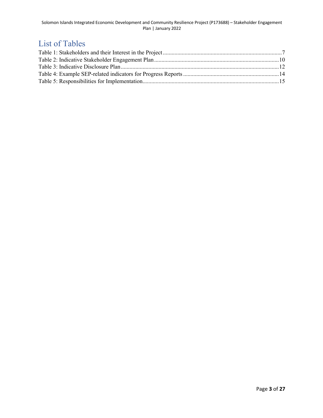## List of Tables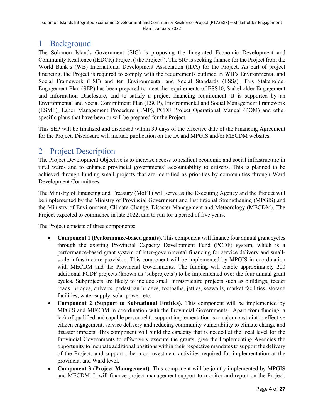## 1 Background

The Solomon Islands Government (SIG) is proposing the Integrated Economic Development and Community Resilience (IEDCR) Project ('the Project'). The SIG is seeking finance for the Project from the World Bank's (WB) International Development Association (IDA) for the Project. As part of project financing, the Project is required to comply with the requirements outlined in WB's Environmental and Social Framework (ESF) and ten Environmental and Social Standards (ESSs). This Stakeholder Engagement Plan (SEP) has been prepared to meet the requirements of ESS10, Stakeholder Engagement and Information Disclosure, and to satisfy a project financing requirement. It is supported by an Environmental and Social Commitment Plan (ESCP), Environmental and Social Management Framework (ESMF), Labor Management Procedure (LMP), PCDF Project Operational Manual (POM) and other specific plans that have been or will be prepared for the Project.

This SEP will be finalized and disclosed within 30 days of the effective date of the Financing Agreement for the Project. Disclosure will include publication on the IA and MPGIS and/or MECDM websites.

## 2 Project Description

The Project Development Objective is to increase access to resilient economic and social infrastructure in rural wards and to enhance provincial governments' accountability to citizens. This is planned to be achieved through funding small projects that are identified as priorities by communities through Ward Development Committees.

The Ministry of Financing and Treasury (MoFT) will serve as the Executing Agency and the Project will be implemented by the Ministry of Provincial Government and Institutional Strengthening (MPGIS) and the Ministry of Environment, Climate Change, Disaster Management and Meteorology (MECDM). The Project expected to commence in late 2022, and to run for a period of five years.

The Project consists of three components:

- **Component 1 (Performance-based grants).** This component will finance four annual grant cycles through the existing Provincial Capacity Development Fund (PCDF) system, which is a performance-based grant system of inter-governmental financing for service delivery and smallscale infrastructure provision. This component will be implemented by MPGIS in coordination with MECDM and the Provincial Governments. The funding will enable approximately 200 additional PCDF projects (known as 'subprojects') to be implemented over the four annual grant cycles. Subprojects are likely to include small infrastructure projects such as buildings, feeder roads, bridges, culverts, pedestrian bridges, footpaths, jetties, seawalls, market facilities, storage facilities, water supply, solar power, etc.
- **Component 2 (Support to Subnational Entities).** This component will be implemented by MPGIS and MECDM in coordination with the Provincial Governments. Apart from funding, a lack of qualified and capable personnel to support implementation is a major constraint to effective citizen engagement, service delivery and reducing community vulnerability to climate change and disaster impacts. This component will build the capacity that is needed at the local level for the Provincial Governments to effectively execute the grants; give the Implementing Agencies the opportunity to incubate additional positions within their respective mandates to support the delivery of the Project; and support other non-investment activities required for implementation at the provincial and Ward level.
- **Component 3 (Project Management).** This component will be jointly implemented by MPGIS and MECDM. It will finance project management support to monitor and report on the Project,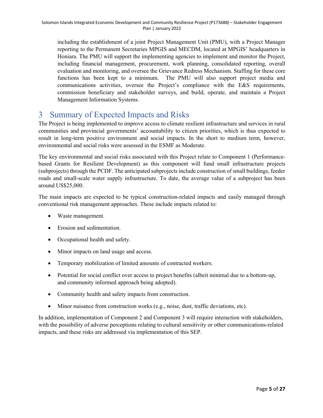including the establishment of a joint Project Management Unit (PMU), with a Project Manager reporting to the Permanent Secretaries MPGIS and MECDM, located at MPGIS' headquarters in Honiara. The PMU will support the implementing agencies to implement and monitor the Project, including financial management, procurement, work planning, consolidated reporting, overall evaluation and monitoring, and oversee the Grievance Redress Mechanism. Staffing for these core functions has been kept to a minimum. The PMU will also support project media and communications activities, oversee the Project's compliance with the E&S requirements, commission beneficiary and stakeholder surveys, and build, operate, and maintain a Project Management Information Systems.

## 3 Summary of Expected Impacts and Risks

The Project is being implemented to improve access to climate resilient infrastructure and services in rural communities and provincial governments' accountability to citizen priorities, which is thus expected to result in long-term positive environment and social impacts. In the short to medium term, however, environmental and social risks were assessed in the ESMF as Moderate.

The key environmental and social risks associated with this Project relate to Component 1 (Performancebased Grants for Resilient Development) as this component will fund small infrastructure projects (subprojects) through the PCDF. The anticipated subprojects include construction of small buildings, feeder roads and small-scale water supply infrastructure. To date, the average value of a subproject has been around US\$25,000.

The main impacts are expected to be typical construction-related impacts and easily managed through conventional risk management approaches. These include impacts related to:

- Waste management.
- Erosion and sedimentation.
- Occupational health and safety.
- Minor impacts on land usage and access.
- Temporary mobilization of limited amounts of contracted workers.
- Potential for social conflict over access to project benefits (albeit minimal due to a bottom-up, and community informed approach being adopted).
- Community health and safety impacts from construction.
- Minor nuisance from construction works (e.g., noise, dust, traffic deviations, etc).

In addition, implementation of Component 2 and Component 3 will require interaction with stakeholders, with the possibility of adverse perceptions relating to cultural sensitivity or other communications-related impacts, and these risks are addressed via implementation of this SEP.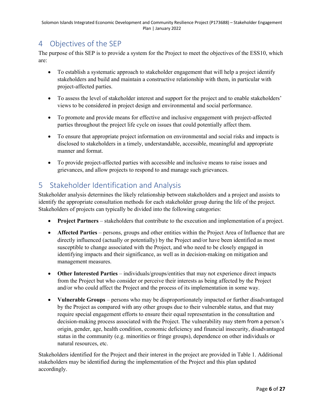## 4 Objectives of the SEP

The purpose of this SEP is to provide a system for the Project to meet the objectives of the ESS10, which are:

- To establish a systematic approach to stakeholder engagement that will help a project identify stakeholders and build and maintain a constructive relationship with them, in particular with project-affected parties.
- To assess the level of stakeholder interest and support for the project and to enable stakeholders' views to be considered in project design and environmental and social performance.
- To promote and provide means for effective and inclusive engagement with project-affected parties throughout the project life cycle on issues that could potentially affect them.
- To ensure that appropriate project information on environmental and social risks and impacts is disclosed to stakeholders in a timely, understandable, accessible, meaningful and appropriate manner and format.
- To provide project-affected parties with accessible and inclusive means to raise issues and grievances, and allow projects to respond to and manage such grievances.

## 5 Stakeholder Identification and Analysis

Stakeholder analysis determines the likely relationship between stakeholders and a project and assists to identify the appropriate consultation methods for each stakeholder group during the life of the project. Stakeholders of projects can typically be divided into the following categories:

- **Project Partners** stakeholders that contribute to the execution and implementation of a project.
- **Affected Parties** persons, groups and other entities within the Project Area of Influence that are directly influenced (actually or potentially) by the Project and/or have been identified as most susceptible to change associated with the Project, and who need to be closely engaged in identifying impacts and their significance, as well as in decision-making on mitigation and management measures.
- **Other Interested Parties** individuals/groups/entities that may not experience direct impacts from the Project but who consider or perceive their interests as being affected by the Project and/or who could affect the Project and the process of its implementation in some way.
- **Vulnerable Groups** persons who may be disproportionately impacted or further disadvantaged by the Project as compared with any other groups due to their vulnerable status, and that may require special engagement efforts to ensure their equal representation in the consultation and decision-making process associated with the Project. The vulnerability may stem from a person's origin, gender, age, health condition, economic deficiency and financial insecurity, disadvantaged status in the community (e.g. minorities or fringe groups), dependence on other individuals or natural resources, etc.

Stakeholders identified for the Project and their interest in the project are provided in Table 1. Additional stakeholders may be identified during the implementation of the Project and this plan updated accordingly.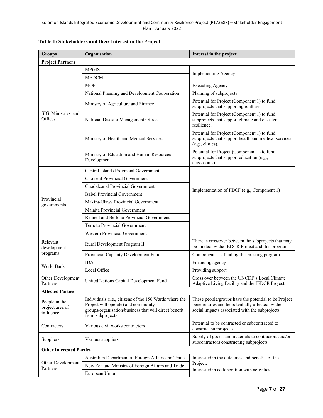| <b>Groups</b>                                 | Organisation                                                                                                                                                                | Interest in the project                                                                                                                                     |  |  |  |  |
|-----------------------------------------------|-----------------------------------------------------------------------------------------------------------------------------------------------------------------------------|-------------------------------------------------------------------------------------------------------------------------------------------------------------|--|--|--|--|
| <b>Project Partners</b>                       |                                                                                                                                                                             |                                                                                                                                                             |  |  |  |  |
|                                               | <b>MPGIS</b>                                                                                                                                                                |                                                                                                                                                             |  |  |  |  |
|                                               | <b>MEDCM</b>                                                                                                                                                                | <b>Implementing Agency</b>                                                                                                                                  |  |  |  |  |
|                                               | <b>MOFT</b>                                                                                                                                                                 | <b>Executing Agency</b>                                                                                                                                     |  |  |  |  |
|                                               | National Planning and Development Cooperation                                                                                                                               | Planning of subprojects                                                                                                                                     |  |  |  |  |
|                                               | Ministry of Agriculture and Finance                                                                                                                                         | Potential for Project (Component 1) to fund<br>subprojects that support agriculture                                                                         |  |  |  |  |
| SIG Ministries and<br>Offices                 | National Disaster Management Office                                                                                                                                         | Potential for Project (Component 1) to fund<br>subprojects that support climate and disaster<br>resilience.                                                 |  |  |  |  |
|                                               | Ministry of Health and Medical Services                                                                                                                                     | Potential for Project (Component 1) to fund<br>subprojects that support health and medical services<br>(e.g., clinics).                                     |  |  |  |  |
|                                               | Ministry of Education and Human Resources<br>Development                                                                                                                    | Potential for Project (Component 1) to fund<br>subprojects that support education (e.g.,<br>classrooms).                                                    |  |  |  |  |
|                                               | Central Islands Provincial Government                                                                                                                                       |                                                                                                                                                             |  |  |  |  |
|                                               | Choiseul Provincial Government                                                                                                                                              | Implementation of PDCF (e.g., Component 1)                                                                                                                  |  |  |  |  |
|                                               | Guadalcanal Provincial Government                                                                                                                                           |                                                                                                                                                             |  |  |  |  |
|                                               | Isabel Provincial Government                                                                                                                                                |                                                                                                                                                             |  |  |  |  |
| Provincial<br>governments                     | Makira-Ulawa Provincial Government                                                                                                                                          |                                                                                                                                                             |  |  |  |  |
|                                               | Malaita Provincial Government                                                                                                                                               |                                                                                                                                                             |  |  |  |  |
|                                               | Rennell and Bellona Provincial Government                                                                                                                                   |                                                                                                                                                             |  |  |  |  |
|                                               | <b>Temotu Provincial Government</b>                                                                                                                                         |                                                                                                                                                             |  |  |  |  |
|                                               | <b>Western Provincial Government</b>                                                                                                                                        |                                                                                                                                                             |  |  |  |  |
| Relevant<br>development                       | Rural Development Program II                                                                                                                                                | There is crossover between the subprojects that may<br>be funded by the IEDCR Project and this program                                                      |  |  |  |  |
| programs                                      | Provincial Capacity Development Fund                                                                                                                                        | Component 1 is funding this existing program                                                                                                                |  |  |  |  |
| World Bank                                    | <b>IDA</b>                                                                                                                                                                  | Financing agency                                                                                                                                            |  |  |  |  |
|                                               | Local Office                                                                                                                                                                | Providing support                                                                                                                                           |  |  |  |  |
| Other Development<br>Partners                 | United Nations Capital Development Fund                                                                                                                                     | Cross over between the UNCDF's Local Climate<br>Adaptive Living Facility and the IEDCR Project                                                              |  |  |  |  |
| <b>Affected Parties</b>                       |                                                                                                                                                                             |                                                                                                                                                             |  |  |  |  |
| People in the<br>project area of<br>influence | Individuals (i.e., citizens of the 156 Wards where the<br>Project will operate) and community<br>groups/organisation/business that will direct benefit<br>from subprojects. | These people/groups have the potential to be Project<br>beneficiaries and be potentially affected by the<br>social impacts associated with the subprojects. |  |  |  |  |
| Contractors                                   | Various civil works contractors                                                                                                                                             | Potential to be contracted or subcontracted to<br>construct subprojects.                                                                                    |  |  |  |  |
| Suppliers                                     | Various suppliers                                                                                                                                                           | Supply of goods and materials to contractors and/or<br>subcontractors constructing subprojects                                                              |  |  |  |  |
| <b>Other Interested Parties</b>               |                                                                                                                                                                             |                                                                                                                                                             |  |  |  |  |
|                                               | Australian Department of Foreign Affairs and Trade                                                                                                                          | Interested in the outcomes and benefits of the<br>Project.<br>Interested in collaboration with activities.                                                  |  |  |  |  |
| Other Development<br>Partners                 | New Zealand Ministry of Foreign Affairs and Trade                                                                                                                           |                                                                                                                                                             |  |  |  |  |
|                                               | European Union                                                                                                                                                              |                                                                                                                                                             |  |  |  |  |

## **Table 1: Stakeholders and their Interest in the Project**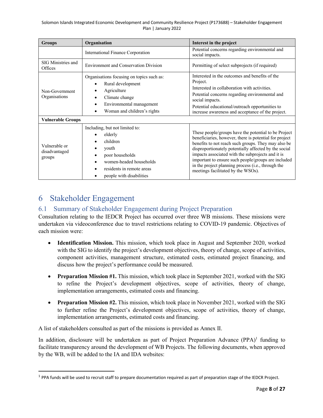| <b>Groups</b>                                               | Organisation                                                                                                                                                                         | Interest in the project                                                                                                                                                                                                                                                                                                                                                                                                                |  |
|-------------------------------------------------------------|--------------------------------------------------------------------------------------------------------------------------------------------------------------------------------------|----------------------------------------------------------------------------------------------------------------------------------------------------------------------------------------------------------------------------------------------------------------------------------------------------------------------------------------------------------------------------------------------------------------------------------------|--|
|                                                             | International Finance Corporation                                                                                                                                                    | Potential concerns regarding environmental and<br>social impacts.                                                                                                                                                                                                                                                                                                                                                                      |  |
| SIG Ministries and<br>Offices                               | <b>Environment and Conservation Division</b>                                                                                                                                         | Permitting of select subprojects (if required)                                                                                                                                                                                                                                                                                                                                                                                         |  |
| Non-Government<br>Organisations<br><b>Vulnerable Groups</b> | Organisations focusing on topics such as:<br>Rural development<br>Agriculture<br>Climate change<br>Environmental management<br>$\bullet$<br>Woman and children's rights<br>$\bullet$ | Interested in the outcomes and benefits of the<br>Project.<br>Interested in collaboration with activities.<br>Potential concerns regarding environmental and<br>social impacts.<br>Potential educational/outreach opportunities to<br>increase awareness and acceptance of the project.                                                                                                                                                |  |
| Vulnerable or<br>disadvantaged<br>groups                    | Including, but not limited to:<br>elderly<br>children<br>youth<br>poor households<br>women-headed households<br>residents in remote areas<br>people with disabilities                | These people/groups have the potential to be Project<br>beneficiaries, however, there is potential for project<br>benefits to not reach such groups. They may also be<br>disproportionately potentially affected by the social<br>impacts associated with the subprojects and it is<br>important to ensure such people/groups are included<br>in the project planning process (i.e., through the<br>meetings facilitated by the WSOs). |  |

## 6 Stakeholder Engagement

## 6.1 Summary of Stakeholder Engagement during Project Preparation

Consultation relating to the IEDCR Project has occurred over three WB missions. These missions were undertaken via videoconference due to travel restrictions relating to COVID-19 pandemic. Objectives of each mission were:

- **Identification Mission.** This mission, which took place in August and September 2020, worked with the SIG to identify the project's development objectives, theory of change, scope of activities, component activities, management structure, estimated costs, estimated project financing, and discuss how the project's performance could be measured.
- **Preparation Mission #1.** This mission, which took place in September 2021, worked with the SIG to refine the Project's development objectives, scope of activities, theory of change, implementation arrangements, estimated costs and financing.
- **Preparation Mission #2.** This mission, which took place in November 2021, worked with the SIG to further refine the Project's development objectives, scope of activities, theory of change, implementation arrangements, estimated costs and financing.

A list of stakeholders consulted as part of the missions is provided as Annex II.

In addition, disclosure will be undertaken as part of Project Preparation Advance  $(PPA)^1$  funding to facilitate transparency around the development of WB Projects. The following documents, when approved by the WB, will be added to the IA and IDA websites:

<sup>&</sup>lt;sup>1</sup> PPA funds will be used to recruit staff to prepare documentation required as part of preparation stage of the IEDCR Project.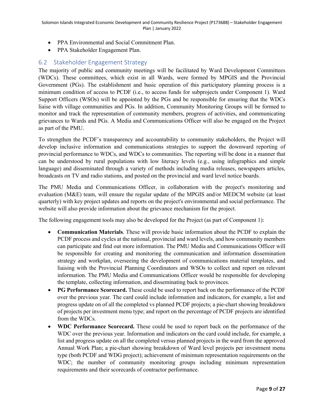- PPA Environmental and Social Commitment Plan.
- PPA Stakeholder Engagement Plan.

## 6.2 Stakeholder Engagement Strategy

The majority of public and community meetings will be facilitated by Ward Development Committees (WDCs). These committees, which exist in all Wards, were formed by MPGIS and the Provincial Government (PGs). The establishment and basic operation of this participatory planning process is a minimum condition of access to PCDF (i.e., to access funds for subprojects under Component 1). Ward Support Officers (WSOs) will be appointed by the PGs and be responsible for ensuring that the WDCs liaise with village communities and PGs. In addition, Community Monitoring Groups will be formed to monitor and track the representation of community members, progress of activities, and communicating grievances to Wards and PGs. A Media and Communications Officer will also be engaged on the Project as part of the PMU.

To strengthen the PCDF's transparency and accountability to community stakeholders, the Project will develop inclusive information and communications strategies to support the downward reporting of provincial performance to WDCs, and WDCs to communities. The reporting will be done in a manner that can be understood by rural populations with low literacy levels (e.g., using infographics and simple language) and disseminated through a variety of methods including media releases, newspapers articles, broadcasts on TV and radio stations, and posted on the provincial and ward level notice boards.

The PMU Media and Communications Officer, in collaboration with the project's monitoring and evaluation (M&E) team, will ensure the regular update of the MPGIS and/or MEDCM website (at least quarterly) with key project updates and reports on the project's environmental and social performance. The website will also provide information about the grievance mechanism for the project.

The following engagement tools may also be developed for the Project (as part of Component 1):

- **Communication Materials**. These will provide basic information about the PCDF to explain the PCDF process and cycles at the national, provincial and ward levels, and how community members can participate and find out more information. The PMU Media and Communications Officer will be responsible for creating and monitoring the communication and information dissemination strategy and workplan, overseeing the development of communications material templates, and liaising with the Provincial Planning Coordinators and WSOs to collect and report on relevant information. The PMU Media and Communications Officer would be responsible for developing the template, collecting information, and disseminating back to provinces.
- **PG Performance Scorecard.** These could be used to report back on the performance of the PCDF over the previous year. The card could include information and indicators, for example, a list and progress update on of all the completed vs planned PCDF projects; a pie-chart showing breakdown of projects per investment menu type; and report on the percentage of PCDF projects are identified from the WDCs.
- **WDC Performance Scorecard.** These could be used to report back on the performance of the WDC over the previous year. Information and indicators on the card could include, for example, a list and progress update on all the completed versus planned projects in the ward from the approved Annual Work Plan; a pie-chart showing breakdown of Ward level projects per investment menu type (both PCDF and WDG project); achievement of minimum representation requirements on the WDC; the number of community monitoring groups including minimum representation requirements and their scorecards of contractor performance.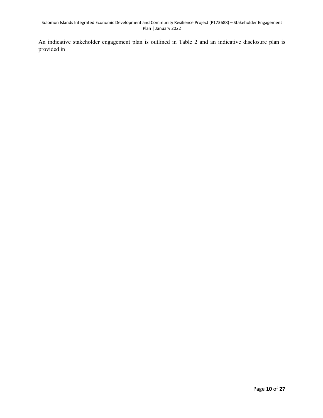An indicative stakeholder engagement plan is outlined in Table 2 and an indicative disclosure plan is provided in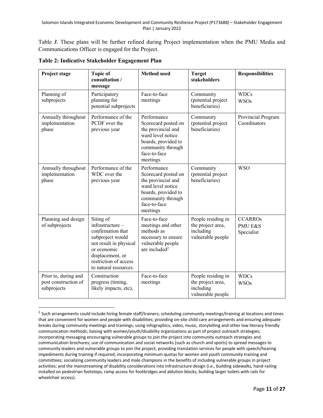Table *3*. These plans will be further refined during Project implementation when the PMU Media and Communications Officer is engaged for the Project.

| Project stage                                               | <b>Topic of</b><br>consultation /<br>message                                                                                                                                          | <b>Method</b> used                                                                                                                                    | <b>Target</b><br>stakeholders                                             | <b>Responsibilities</b>                            |
|-------------------------------------------------------------|---------------------------------------------------------------------------------------------------------------------------------------------------------------------------------------|-------------------------------------------------------------------------------------------------------------------------------------------------------|---------------------------------------------------------------------------|----------------------------------------------------|
| Planning of<br>subprojects                                  | Participatory<br>planning for<br>potential subprojects                                                                                                                                | Face-to-face<br>meetings                                                                                                                              | Community<br>(potential project<br>beneficiaries)                         | <b>WDCs</b><br><b>WSOs</b>                         |
| Annually throughout<br>implementation<br>phase              | Performance of the<br>PCDF over the<br>previous year                                                                                                                                  | Performance<br>Scorecard posted on<br>the provincial and<br>ward level notice<br>boards, provided to<br>community through<br>face-to-face<br>meetings | Community<br>(potential project<br>beneficiaries)                         | Provincial Program<br>Coordinators                 |
| Annually throughout<br>implementation<br>phase              | Performance of the<br>WDC over the<br>previous year                                                                                                                                   | Performance<br>Scorecard posted on<br>the provincial and<br>ward level notice<br>boards, provided to<br>community through<br>face-to-face<br>meetings | Community<br>(potential project<br>beneficiaries)                         | <b>WSO</b>                                         |
| Planning and design<br>of subprojects                       | Siting of<br>infrastructure -<br>confirmation that<br>subproject would<br>not result in physical<br>or economic<br>displacement, or<br>restriction of access<br>to natural resources. | Face-to-face<br>meetings and other<br>methods as<br>necessary to ensure<br>vulnerable people<br>are included <sup>2</sup>                             | People residing in<br>the project area,<br>including<br>vulnerable people | <b>CCARROS</b><br><b>PMU E&amp;S</b><br>Specialist |
| Prior to, during and<br>post construction of<br>subprojects | Construction<br>progress (timing,<br>likely impacts, etc),                                                                                                                            | Face-to-face<br>meetings                                                                                                                              | People residing in<br>the project area,<br>including<br>vulnerable people | <b>WDCs</b><br><b>WSOs</b>                         |

**Table 2: Indicative Stakeholder Engagement Plan** 

<sup>&</sup>lt;sup>2</sup> Such arrangements could include hiring female staff/trainers; scheduling community meetings/training at locations and times that are convenient for women and people with disabilities; providing on-site child care arrangements and ensuring adequate breaks during community meetings and trainings; using infographics, video, music, storytelling and other low literacy friendly communication methods; liaising with women/youth/disability organizations as part of project outreach strategies; incorporating messaging encouraging vulnerable groups to join the project into community outreach strategies and communication brochures; use of communication and social networks (such as church and sports) to spread messages to community leaders and vulnerable groups to join the project; providing translation services for people with speech/hearing impediments during training if required; incorporating minimum quotas for women and youth community training and committees; socializing community leaders and male champions in the benefits of including vulnerable groups in project activities; and the mainstreaming of disability considerations into infrastructure design (i.e., building sidewalks, hand-railing installed on pedestrian footsteps, ramp access for footbridges and ablution blocks, building larger toilets with rails for wheelchair access).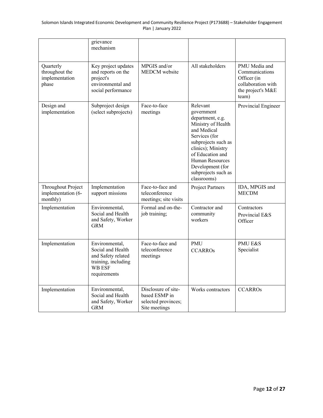|                                                        | grievance<br>mechanism                                                                                            |                                                                              |                                                                                                                                                                                                                                                |                                                                                                    |
|--------------------------------------------------------|-------------------------------------------------------------------------------------------------------------------|------------------------------------------------------------------------------|------------------------------------------------------------------------------------------------------------------------------------------------------------------------------------------------------------------------------------------------|----------------------------------------------------------------------------------------------------|
| Quarterly<br>throughout the<br>implementation<br>phase | Key project updates<br>and reports on the<br>project's<br>environmental and<br>social performance                 | MPGIS and/or<br><b>MEDCM</b> website                                         | All stakeholders                                                                                                                                                                                                                               | PMU Media and<br>Communications<br>Officer (in<br>collaboration with<br>the project's M&E<br>team) |
| Design and<br>implementation                           | Subproject design<br>(select subprojects)                                                                         | Face-to-face<br>meetings                                                     | Relevant<br>government<br>department, e.g.<br>Ministry of Health<br>and Medical<br>Services (for<br>subprojects such as<br>clinics); Ministry<br>of Education and<br>Human Resources<br>Development (for<br>subprojects such as<br>classrooms) | Provincial Engineer                                                                                |
| Throughout Project<br>implementation (6-<br>monthly)   | Implementation<br>support missions                                                                                | Face-to-face and<br>teleconference<br>meetings; site visits                  | <b>Project Partners</b>                                                                                                                                                                                                                        | IDA, MPGIS and<br><b>MECDM</b>                                                                     |
| Implementation                                         | Environmental,<br>Social and Health<br>and Safety, Worker<br><b>GRM</b>                                           | Formal and on-the-<br>job training;                                          | Contractor and<br>community<br>workers                                                                                                                                                                                                         | Contractors<br>Provincial E&S<br>Officer                                                           |
| Implementation                                         | Environmental,<br>Social and Health<br>and Safety related<br>training, including<br><b>WB ESF</b><br>requirements | Face-to-face and<br>teleconference<br>meetings                               | <b>PMU</b><br><b>CCARROS</b>                                                                                                                                                                                                                   | <b>PMU E&amp;S</b><br>Specialist                                                                   |
| Implementation                                         | Environmental,<br>Social and Health<br>and Safety, Worker<br><b>GRM</b>                                           | Disclosure of site-<br>based ESMP in<br>selected provinces;<br>Site meetings | Works contractors                                                                                                                                                                                                                              | <b>CCARROs</b>                                                                                     |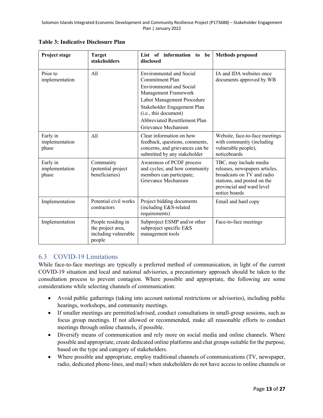| Project stage                       | <b>Target</b><br>stakeholders                                             | List of information to be<br>disclosed                                                                                                                                                                                                                             | <b>Methods proposed</b>                                                                                                                                             |
|-------------------------------------|---------------------------------------------------------------------------|--------------------------------------------------------------------------------------------------------------------------------------------------------------------------------------------------------------------------------------------------------------------|---------------------------------------------------------------------------------------------------------------------------------------------------------------------|
| Prior to<br>implementation          | A11                                                                       | <b>Environmental and Social</b><br><b>Commitment Plan</b><br><b>Environmental and Social</b><br>Management Framework<br>Labor Management Procedure<br>Stakeholder Engagement Plan<br>(i.e., this document)<br>Abbreviated Resettlement Plan<br>Grievance Mechanism | IA and IDA websites once<br>documents approved by WB                                                                                                                |
| Early in<br>implementation<br>phase | A11                                                                       | Clear information on how<br>feedback, questions, comments,<br>concerns, and grievances can be<br>submitted by any stakeholder                                                                                                                                      | Website, face-to-face meetings<br>with community (including<br>vulnerable people),<br>noticeboards                                                                  |
| Early in<br>implementation<br>phase | Community<br>(potential project<br>beneficiaries)                         | Awareness of PCDF process<br>and cycles; and how community<br>members can participate;<br>Grievance Mechanism                                                                                                                                                      | TBC, may include media<br>releases, newspapers articles,<br>broadcasts on TV and radio<br>stations, and posted on the<br>provincial and ward level<br>notice boards |
| Implementation                      | Potential civil works<br>contractors                                      | Project bidding documents<br>(including E&S-related<br>requirements)                                                                                                                                                                                               | Email and hard copy                                                                                                                                                 |
| Implementation                      | People residing in<br>the project area,<br>including vulnerable<br>people | Subproject ESMP and/or other<br>subproject specific E&S<br>management tools                                                                                                                                                                                        | Face-to-face meetings                                                                                                                                               |

**Table 3: Indicative Disclosure Plan**

## 6.3 COVID-19 Limitations

While face-to-face meetings are typically a preferred method of communication, in light of the current COVID-19 situation and local and national advisories, a precautionary approach should be taken to the consultation process to prevent contagion. Where possible and appropriate, the following are some considerations while selecting channels of communication:

- Avoid public gatherings (taking into account national restrictions or advisories), including public hearings, workshops, and community meetings.
- If smaller meetings are permitted/advised, conduct consultations in small-group sessions, such as focus group meetings. If not allowed or recommended, make all reasonable efforts to conduct meetings through online channels, if possible.
- Diversify means of communication and rely more on social media and online channels. Where possible and appropriate, create dedicated online platforms and chat groups suitable for the purpose, based on the type and category of stakeholders.
- Where possible and appropriate, employ traditional channels of communications (TV, newspaper, radio, dedicated phone-lines, and mail) when stakeholders do not have access to online channels or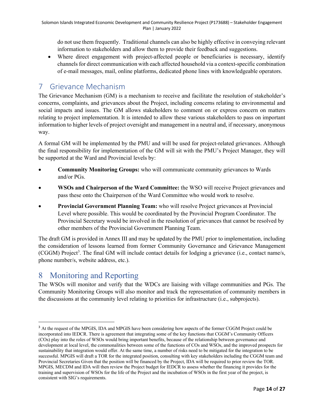do not use them frequently. Traditional channels can also be highly effective in conveying relevant information to stakeholders and allow them to provide their feedback and suggestions.

• Where direct engagement with project-affected people or beneficiaries is necessary, identify channels for direct communication with each affected household via a context-specific combination of e-mail messages, mail, online platforms, dedicated phone lines with knowledgeable operators.

## 7 Grievance Mechanism

The Grievance Mechanism (GM) is a mechanism to receive and facilitate the resolution of stakeholder's concerns, complaints, and grievances about the Project, including concerns relating to environmental and social impacts and issues. The GM allows stakeholders to comment on or express concern on matters relating to project implementation. It is intended to allow these various stakeholders to pass on important information to higher levels of project oversight and management in a neutral and, if necessary, anonymous way.

A formal GM will be implemented by the PMU and will be used for project-related grievances. Although the final responsibility for implementation of the GM will sit with the PMU's Project Manager, they will be supported at the Ward and Provincial levels by:

- **Community Monitoring Groups:** who will communicate community grievances to Wards and/or PGs.
- **WSOs and Chairperson of the Ward Committee:** the WSO will receive Project grievances and pass these onto the Chairperson of the Ward Committee who would work to resolve.
- **Provincial Government Planning Team:** who will resolve Project grievances at Provincial Level where possible. This would be coordinated by the Provincial Program Coordinator. The Provincial Secretary would be involved in the resolution of grievances that cannot be resolved by other members of the Provincial Government Planning Team.

The draft GM is provided in Annex III and may be updated by the PMU prior to implementation, including the consideration of lessons learned from former Community Governance and Grievance Management (CGGM) Project<sup>3</sup>. The final GM will include contact details for lodging a grievance (i.e., contact name/s, phone number/s, website address, etc.).

## 8 Monitoring and Reporting

The WSOs will monitor and verify that the WDCs are liaising with village communities and PGs. The Community Monitoring Groups will also monitor and track the representation of community members in the discussions at the community level relating to priorities for infrastructure (i.e., subprojects).

<sup>&</sup>lt;sup>3</sup> At the request of the MPGIS, IDA and MPGIS have been considering how aspects of the former CGGM Project could be incorporated into IEDCR. There is agreement that integrating some of the key functions that CGGM's Community Officers (COs) play into the roles of WSOs would bring important benefits, because of the relationship between governance and development at local level, the commonalities between some of the functions of COs and WSOs, and the improved prospects for sustainability that integration would offer. At the same time, a number of risks need to be mitigated for the integration to be successful. MPGIS will draft a TOR for the integrated position, consulting with key stakeholders including the CGGM team and Provincial Secretaries Given that the position will be financed by the Project, IDA will be required to prior review the TOR. MPGIS, MECDM and IDA will then review the Project budget for IEDCR to assess whether the financing it provides for the training and supervision of WSOs for the life of the Project and the incubation of WSOs in the first year of the project, is consistent with SIG's requirements.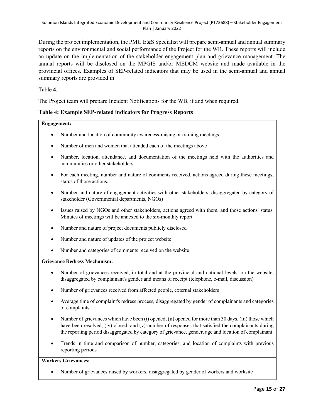During the project implementation, the PMU E&S Specialist will prepare semi-annual and annual summary reports on the environmental and social performance of the Project for the WB. These reports will include an update on the implementation of the stakeholder engagement plan and grievance management. The annual reports will be disclosed on the MPGIS and/or MEDCM website and made available in the provincial offices. Examples of SEP-related indicators that may be used in the semi-annual and annual summary reports are provided in

Table **4**.

The Project team will prepare Incident Notifications for the WB, if and when required.

#### **Table 4: Example SEP-related indicators for Progress Reports**

#### **Engagement:**

- Number and location of community awareness-raising or training meetings
- Number of men and women that attended each of the meetings above
- Number, location, attendance, and documentation of the meetings held with the authorities and communities or other stakeholders
- For each meeting, number and nature of comments received, actions agreed during these meetings, status of those actions.
- Number and nature of engagement activities with other stakeholders, disaggregated by category of stakeholder (Governmental departments, NGOs)
- Issues raised by NGOs and other stakeholders, actions agreed with them, and those actions' status. Minutes of meetings will be annexed to the six-monthly report
- Number and nature of project documents publicly disclosed
- Number and nature of updates of the project website
- Number and categories of comments received on the website

### **Grievance Redress Mechanism:**

- Number of grievances received, in total and at the provincial and national levels, on the website, disaggregated by complainant's gender and means of receipt (telephone, e-mail, discussion)
- Number of grievances received from affected people, external stakeholders
- Average time of complaint's redress process, disaggregated by gender of complainants and categories of complaints
- Number of grievances which have been (i) opened, (ii) opened for more than 30 days, (iii) those which have been resolved, (iv) closed, and (v) number of responses that satisfied the complainants during the reporting period disaggregated by category of grievance, gender, age and location of complainant.
- Trends in time and comparison of number, categories, and location of complaints with previous reporting periods

### **Workers Grievances:**

• Number of grievances raised by workers, disaggregated by gender of workers and worksite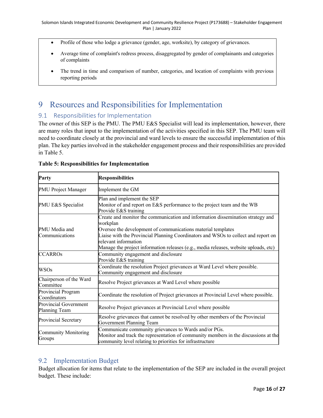- Profile of those who lodge a grievance (gender, age, worksite), by category of grievances.
- Average time of complaint's redress process, disaggregated by gender of complainants and categories of complaints
- The trend in time and comparison of number, categories, and location of complaints with previous reporting periods

## 9 Resources and Responsibilities for Implementation

## 9.1 Responsibilities for Implementation

The owner of this SEP is the PMU. The PMU E&S Specialist will lead its implementation, however, there are many roles that input to the implementation of the activities specified in this SEP. The PMU team will need to coordinate closely at the provincial and ward levels to ensure the successful implementation of this plan. The key parties involved in the stakeholder engagement process and their responsibilities are provided in Table 5.

| Party                                  | <b>Responsibilities</b>                                                                                                                                                                                                                                                                                                                                           |  |  |  |
|----------------------------------------|-------------------------------------------------------------------------------------------------------------------------------------------------------------------------------------------------------------------------------------------------------------------------------------------------------------------------------------------------------------------|--|--|--|
| PMU Project Manager                    | Implement the GM                                                                                                                                                                                                                                                                                                                                                  |  |  |  |
| PMU E&S Specialist                     | Plan and implement the SEP<br>Monitor of and report on E&S performance to the project team and the WB<br>Provide E&S training                                                                                                                                                                                                                                     |  |  |  |
| PMU Media and<br>Communications        | Create and monitor the communication and information dissemination strategy and<br>workplan<br>Oversee the development of communications material templates<br>Liaise with the Provincial Planning Coordinators and WSOs to collect and report on<br>relevant information<br>Manage the project information releases (e.g., media releases, website uploads, etc) |  |  |  |
| <b>CCARROs</b>                         | Community engagement and disclosure<br>Provide E&S training                                                                                                                                                                                                                                                                                                       |  |  |  |
| <b>WSOs</b>                            | Coordinate the resolution Project grievances at Ward Level where possible.<br>Community engagement and disclosure                                                                                                                                                                                                                                                 |  |  |  |
| Chairperson of the Ward<br>Committee   | Resolve Project grievances at Ward Level where possible                                                                                                                                                                                                                                                                                                           |  |  |  |
| Provincial Program<br>Coordinators     | Coordinate the resolution of Project grievances at Provincial Level where possible.                                                                                                                                                                                                                                                                               |  |  |  |
| Provincial Government<br>Planning Team | Resolve Project grievances at Provincial Level where possible                                                                                                                                                                                                                                                                                                     |  |  |  |
| Provincial Secretary                   | Resolve grievances that cannot be resolved by other members of the Provincial<br>Government Planning Team                                                                                                                                                                                                                                                         |  |  |  |
| <b>Community Monitoring</b><br>Groups  | Communicate community grievances to Wards and/or PGs.<br>Monitor and track the representation of community members in the discussions at the<br>community level relating to priorities for infrastructure                                                                                                                                                         |  |  |  |

|  | <b>Table 5: Responsibilities for Implementation</b> |  |  |
|--|-----------------------------------------------------|--|--|
|  |                                                     |  |  |

## 9.2 Implementation Budget

Budget allocation for items that relate to the implementation of the SEP are included in the overall project budget. These include: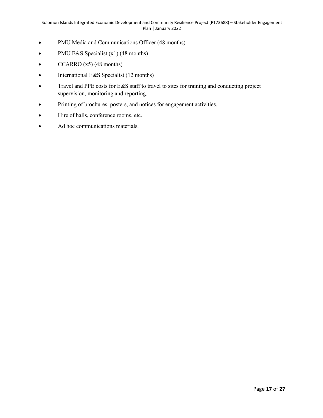- PMU Media and Communications Officer (48 months)
- PMU E&S Specialist (x1) (48 months)
- CCARRO (x5) (48 months)
- International E&S Specialist (12 months)
- Travel and PPE costs for E&S staff to travel to sites for training and conducting project supervision, monitoring and reporting.
- Printing of brochures, posters, and notices for engagement activities.
- Hire of halls, conference rooms, etc.
- Ad hoc communications materials.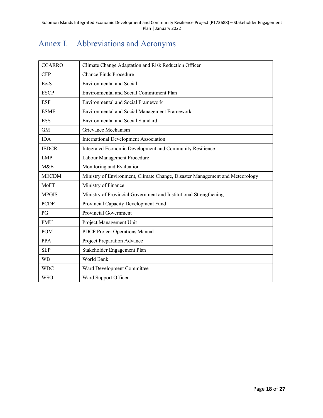|  | Annex I. Abbreviations and Acronyms |
|--|-------------------------------------|
|  |                                     |

| <b>CCARRO</b> | Climate Change Adaptation and Risk Reduction Officer                         |
|---------------|------------------------------------------------------------------------------|
| <b>CFP</b>    | <b>Chance Finds Procedure</b>                                                |
| E&S           | <b>Environmental and Social</b>                                              |
| <b>ESCP</b>   | Environmental and Social Commitment Plan                                     |
| <b>ESF</b>    | <b>Environmental and Social Framework</b>                                    |
| <b>ESMF</b>   | Environmental and Social Management Framework                                |
| <b>ESS</b>    | <b>Environmental and Social Standard</b>                                     |
| GM            | Grievance Mechanism                                                          |
| <b>IDA</b>    | <b>International Development Association</b>                                 |
| <b>IEDCR</b>  | Integrated Economic Development and Community Resilience                     |
| <b>LMP</b>    | Labour Management Procedure                                                  |
| M&E           | Monitoring and Evaluation                                                    |
| <b>MECDM</b>  | Ministry of Environment, Climate Change, Disaster Management and Meteorology |
| MoFT          | Ministry of Finance                                                          |
| <b>MPGIS</b>  | Ministry of Provincial Government and Institutional Strengthening            |
| <b>PCDF</b>   | Provincial Capacity Development Fund                                         |
| PG            | Provincial Government                                                        |
| <b>PMU</b>    | Project Management Unit                                                      |
| <b>POM</b>    | PDCF Project Operations Manual                                               |
| <b>PPA</b>    | Project Preparation Advance                                                  |
| <b>SEP</b>    | Stakeholder Engagement Plan                                                  |
| <b>WB</b>     | World Bank                                                                   |
| <b>WDC</b>    | Ward Development Committee                                                   |
| <b>WSO</b>    | Ward Support Officer                                                         |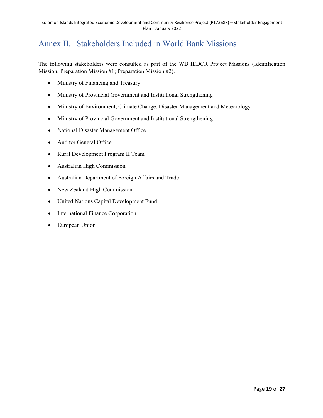## Annex II. Stakeholders Included in World Bank Missions

The following stakeholders were consulted as part of the WB IEDCR Project Missions (Identification Mission; Preparation Mission #1; Preparation Mission #2).

- Ministry of Financing and Treasury
- Ministry of Provincial Government and Institutional Strengthening
- Ministry of Environment, Climate Change, Disaster Management and Meteorology
- Ministry of Provincial Government and Institutional Strengthening
- National Disaster Management Office
- Auditor General Office
- Rural Development Program II Team
- Australian High Commission
- Australian Department of Foreign Affairs and Trade
- New Zealand High Commission
- United Nations Capital Development Fund
- International Finance Corporation
- European Union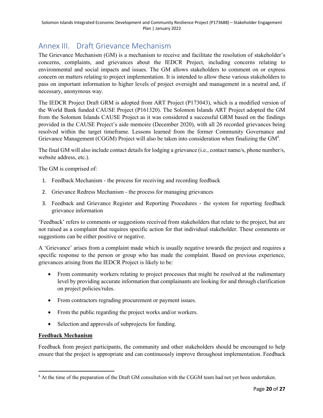## Annex III. Draft Grievance Mechanism

The Grievance Mechanism (GM) is a mechanism to receive and facilitate the resolution of stakeholder's concerns, complaints, and grievances about the IEDCR Project, including concerns relating to environmental and social impacts and issues. The GM allows stakeholders to comment on or express concern on matters relating to project implementation. It is intended to allow these various stakeholders to pass on important information to higher levels of project oversight and management in a neutral and, if necessary, anonymous way.

The IEDCR Project Draft GRM is adopted from ART Project (P173043), which is a modified version of the World Bank funded CAUSE Project (P161320). The Solomon Islands ART Project adopted the GM from the Solomon Islands CAUSE Project as it was considered a successful GRM based on the findings provided in the CAUSE Project's aide memoire (December 2020), with all 26 recorded grievances being resolved within the target timeframe. Lessons learned from the former Community Governance and Grievance Management (CGGM) Project will also be taken into consideration when finalizing the GM<sup>4</sup>.

The final GM will also include contact details for lodging a grievance (i.e., contact name/s, phone number/s, website address, etc.).

The GM is comprised of:

- 1. Feedback Mechanism the process for receiving and recording feedback
- 2. Grievance Redress Mechanism the process for managing grievances
- 3. Feedback and Grievance Register and Reporting Procedures the system for reporting feedback grievance information

'Feedback' refers to comments or suggestions received from stakeholders that relate to the project, but are not raised as a complaint that requires specific action for that individual stakeholder. These comments or suggestions can be either positive or negative.

A 'Grievance' arises from a complaint made which is usually negative towards the project and requires a specific response to the person or group who has made the complaint. Based on previous experience, grievances arising from the IEDCR Project is likely to be:

- From community workers relating to project processes that might be resolved at the rudimentary level by providing accurate information that complainants are looking for and through clarification on project policies/rules.
- From contractors regrading procurement or payment issues.
- From the public regarding the project works and/or workers.
- Selection and approvals of subprojects for funding.

### **Feedback Mechanism**

Feedback from project participants, the community and other stakeholders should be encouraged to help ensure that the project is appropriate and can continuously improve throughout implementation. Feedback

<sup>&</sup>lt;sup>4</sup> At the time of the preparation of the Draft GM consultation with the CGGM team had not yet been undertaken.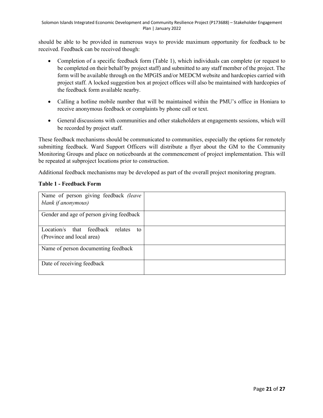should be able to be provided in numerous ways to provide maximum opportunity for feedback to be received. Feedback can be received though:

- Completion of a specific feedback form (Table 1), which individuals can complete (or request to be completed on their behalf by project staff) and submitted to any staff member of the project. The form will be available through on the MPGIS and/or MEDCM website and hardcopies carried with project staff. A locked suggestion box at project offices will also be maintained with hardcopies of the feedback form available nearby.
- Calling a hotline mobile number that will be maintained within the PMU's office in Honiara to receive anonymous feedback or complaints by phone call or text.
- General discussions with communities and other stakeholders at engagements sessions, which will be recorded by project staff.

These feedback mechanisms should be communicated to communities, especially the options for remotely submitting feedback. Ward Support Officers will distribute a flyer about the GM to the Community Monitoring Groups and place on noticeboards at the commencement of project implementation. This will be repeated at subproject locations prior to construction.

Additional feedback mechanisms may be developed as part of the overall project monitoring program.

| Name of person giving feedback (leave<br>blank if anonymous)        |  |
|---------------------------------------------------------------------|--|
| Gender and age of person giving feedback                            |  |
| Location/s that feedback relates<br>to<br>(Province and local area) |  |
| Name of person documenting feedback                                 |  |
| Date of receiving feedback                                          |  |

### **Table 1 - Feedback Form**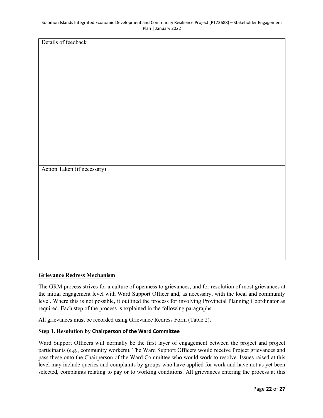Details of feedback

Action Taken (if necessary)

#### **Grievance Redress Mechanism**

The GRM process strives for a culture of openness to grievances, and for resolution of most grievances at the initial engagement level with Ward Support Officer and, as necessary, with the local and community level. Where this is not possible, it outlined the process for involving Provincial Planning Coordinator as required. Each step of the process is explained in the following paragraphs.

All grievances must be recorded using Grievance Redress Form (Table 2).

### **Step 1. Resolution by Chairperson of the Ward Committee**

Ward Support Officers will normally be the first layer of engagement between the project and project participants (e.g., community workers). The Ward Support Officers would receive Project grievances and pass these onto the Chairperson of the Ward Committee who would work to resolve. Issues raised at this level may include queries and complaints by groups who have applied for work and have not as yet been selected, complaints relating to pay or to working conditions. All grievances entering the process at this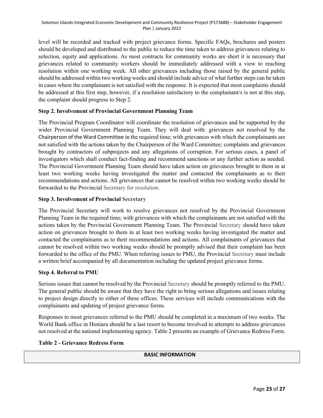level will be recorded and tracked with project grievance forms. Specific FAQs, brochures and posters should be developed and distributed to the public to reduce the time taken to address grievances relating to selection, equity and applications. As most contracts for community works are short it is necessary that grievances related to community workers should be immediately addressed with a view to reaching resolution within one working week. All other grievances including those raised by the general public should be addressed within two working weeks and should include advice of what further steps can be taken in cases where the complainant is not satisfied with the response. It is expected that most complaints should be addressed at this first step, however, if a resolution satisfactory to the complainant/s is not at this step, the complaint should progress to Step 2.

### **Step 2. Involvement of Provincial Government Planning Team**

The Provincial Program Coordinator will coordinate the resolution of grievances and be supported by the wider Provincial Government Planning Team. They will deal with: grievances not resolved by the Chairperson of the Ward Committee in the required time; with grievances with which the complainants are not satisfied with the actions taken by the Chairperson of the Ward Committee; complaints and grievances brought by contractors of subprojects and any allegations of corruption. For serious cases, a panel of investigators which shall conduct fact-finding and recommend sanctions or any further action as needed. The Provincial Government Planning Team should have taken action on grievances brought to them in at least two working weeks having investigated the matter and contacted the complainants as to their recommendations and actions. All grievances that cannot be resolved within two working weeks should be forwarded to the Provincial Secretary for resolution.

### **Step 3. Involvement of Provincial Secretary**

The Provincial Secretary will work to resolve grievances not resolved by the Provincial Government Planning Team in the required time; with grievances with which the complainants are not satisfied with the actions taken by the Provincial Government Planning Team. The Provincial Secretary should have taken action on grievances brought to them in at least two working weeks having investigated the matter and contacted the complainants as to their recommendations and actions. All complainants of grievances that cannot be resolved within two working weeks should be promptly advised that their complaint has been forwarded to the office of the PMU. When referring issues to PMU, the Provincial Secretary must include a written brief accompanied by all documentation including the updated project grievance forms.

### **Step 4. Referral to PMU**

Serious issues that cannot be resolved by the Provincial Secretary should be promptly referred to the PMU. The general public should be aware that they have the right to bring serious allegations and issues relating to project design directly to either of these offices. These services will include communications with the complainants and updating of project grievance forms.

Responses to most grievances referred to the PMU should be completed in a maximum of two weeks. The World Bank office in Honiara should be a last resort to become involved in attempts to address grievances not resolved at the national implementing agency. Table 2 presents an example of Grievance Redress Form.

### **Table 2 - Grievance Redress Form**

### **BASIC INFORMATION**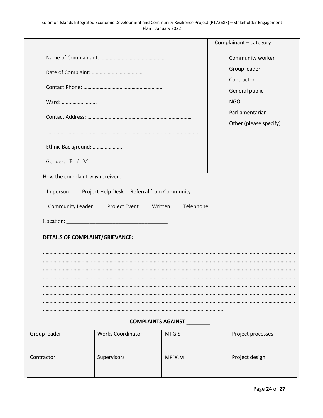|                                        |                                           |                                           | Complainant - category |  |  |  |  |  |  |  |
|----------------------------------------|-------------------------------------------|-------------------------------------------|------------------------|--|--|--|--|--|--|--|
|                                        |                                           |                                           | Community worker       |  |  |  |  |  |  |  |
|                                        |                                           |                                           | Group leader           |  |  |  |  |  |  |  |
|                                        |                                           |                                           | Contractor             |  |  |  |  |  |  |  |
|                                        |                                           | General public                            |                        |  |  |  |  |  |  |  |
| Ward:                                  |                                           | <b>NGO</b>                                |                        |  |  |  |  |  |  |  |
|                                        |                                           | Parliamentarian<br>Other (please specify) |                        |  |  |  |  |  |  |  |
|                                        |                                           |                                           |                        |  |  |  |  |  |  |  |
| Ethnic Background:                     |                                           |                                           |                        |  |  |  |  |  |  |  |
|                                        |                                           |                                           |                        |  |  |  |  |  |  |  |
|                                        | Gender: F / M                             |                                           |                        |  |  |  |  |  |  |  |
| How the complaint was received:        |                                           |                                           |                        |  |  |  |  |  |  |  |
| In person                              | Project Help Desk Referral from Community |                                           |                        |  |  |  |  |  |  |  |
| Community Leader                       | Project Event<br>Written                  | Telephone                                 |                        |  |  |  |  |  |  |  |
|                                        |                                           |                                           |                        |  |  |  |  |  |  |  |
|                                        |                                           |                                           |                        |  |  |  |  |  |  |  |
| <b>DETAILS OF COMPLAINT/GRIEVANCE:</b> |                                           |                                           |                        |  |  |  |  |  |  |  |
|                                        |                                           |                                           |                        |  |  |  |  |  |  |  |
|                                        |                                           |                                           |                        |  |  |  |  |  |  |  |
|                                        |                                           |                                           |                        |  |  |  |  |  |  |  |
|                                        |                                           |                                           |                        |  |  |  |  |  |  |  |
|                                        |                                           |                                           |                        |  |  |  |  |  |  |  |
|                                        |                                           |                                           |                        |  |  |  |  |  |  |  |
|                                        | <b>COMPLAINTS AGAINST</b>                 |                                           |                        |  |  |  |  |  |  |  |
| Group leader                           | <b>Works Coordinator</b>                  | <b>MPGIS</b>                              | Project processes      |  |  |  |  |  |  |  |
|                                        |                                           |                                           |                        |  |  |  |  |  |  |  |
| Contractor                             | Supervisors                               | <b>MEDCM</b>                              | Project design         |  |  |  |  |  |  |  |
|                                        |                                           |                                           |                        |  |  |  |  |  |  |  |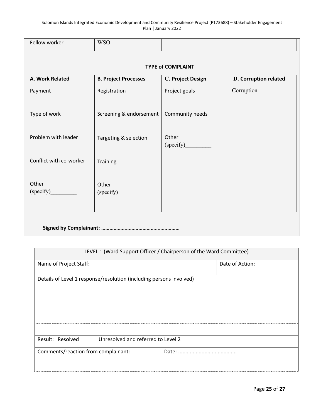| <b>WSO</b>                  |                    |                          |
|-----------------------------|--------------------|--------------------------|
|                             |                    |                          |
| <b>B. Project Processes</b> | C. Project Design  | D. Corruption related    |
| Registration                | Project goals      | Corruption               |
| Screening & endorsement     | Community needs    |                          |
| Targeting & selection       | Other<br>(specify) |                          |
| Training                    |                    |                          |
| Other<br>(specify)          |                    |                          |
|                             |                    | <b>TYPE of COMPLAINT</b> |

| LEVEL 1 (Ward Support Officer / Chairperson of the Ward Committee)                            |               |                 |  |  |  |  |  |  |
|-----------------------------------------------------------------------------------------------|---------------|-----------------|--|--|--|--|--|--|
| Name of Project Staff:                                                                        |               | Date of Action: |  |  |  |  |  |  |
| Details of Level 1 response/resolution (including persons involved)                           |               |                 |  |  |  |  |  |  |
| Result: Resolved<br>Unresolved and referred to Level 2<br>Comments/reaction from complainant: | Date: $\dots$ |                 |  |  |  |  |  |  |
|                                                                                               |               |                 |  |  |  |  |  |  |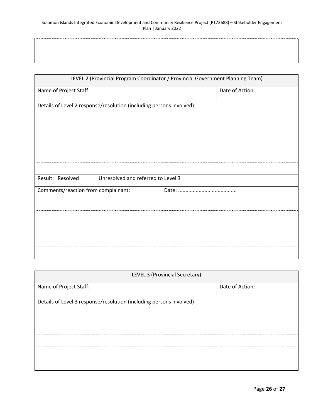| LEVEL 2 (Provincial Program Coordinator / Provincial Government Planning Team) |                 |  |  |  |  |  |  |  |  |
|--------------------------------------------------------------------------------|-----------------|--|--|--|--|--|--|--|--|
| Name of Project Staff:                                                         | Date of Action: |  |  |  |  |  |  |  |  |
| Details of Level 2 response/resolution (including persons involved)            |                 |  |  |  |  |  |  |  |  |
| Result: Resolved<br>Unresolved and referred to Level 3                         |                 |  |  |  |  |  |  |  |  |
| Comments/reaction from complainant:                                            |                 |  |  |  |  |  |  |  |  |
|                                                                                |                 |  |  |  |  |  |  |  |  |

| LEVEL 3 (Provincial Secretary)                                      |                 |  |  |  |  |  |  |  |
|---------------------------------------------------------------------|-----------------|--|--|--|--|--|--|--|
| Name of Project Staff:                                              | Date of Action: |  |  |  |  |  |  |  |
|                                                                     |                 |  |  |  |  |  |  |  |
| Details of Level 3 response/resolution (including persons involved) |                 |  |  |  |  |  |  |  |
|                                                                     |                 |  |  |  |  |  |  |  |
|                                                                     |                 |  |  |  |  |  |  |  |
|                                                                     |                 |  |  |  |  |  |  |  |
|                                                                     |                 |  |  |  |  |  |  |  |
|                                                                     |                 |  |  |  |  |  |  |  |
|                                                                     |                 |  |  |  |  |  |  |  |
|                                                                     |                 |  |  |  |  |  |  |  |
|                                                                     |                 |  |  |  |  |  |  |  |
|                                                                     |                 |  |  |  |  |  |  |  |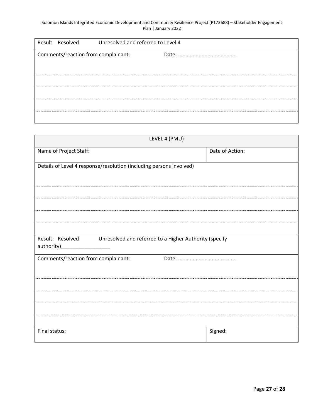| Result: Resolved                    | Unresolved and referred to Level 4 |  |
|-------------------------------------|------------------------------------|--|
| Comments/reaction from complainant: |                                    |  |
|                                     |                                    |  |
|                                     |                                    |  |
|                                     |                                    |  |
|                                     |                                    |  |

| LEVEL 4 (PMU)                                                                            |                 |  |  |  |  |  |  |  |
|------------------------------------------------------------------------------------------|-----------------|--|--|--|--|--|--|--|
| Name of Project Staff:                                                                   | Date of Action: |  |  |  |  |  |  |  |
| Details of Level 4 response/resolution (including persons involved)                      |                 |  |  |  |  |  |  |  |
|                                                                                          |                 |  |  |  |  |  |  |  |
|                                                                                          |                 |  |  |  |  |  |  |  |
|                                                                                          |                 |  |  |  |  |  |  |  |
| Result: Resolved<br>Unresolved and referred to a Higher Authority (specify<br>authority) |                 |  |  |  |  |  |  |  |
| Comments/reaction from complainant:                                                      |                 |  |  |  |  |  |  |  |
|                                                                                          |                 |  |  |  |  |  |  |  |
|                                                                                          |                 |  |  |  |  |  |  |  |
|                                                                                          |                 |  |  |  |  |  |  |  |
|                                                                                          |                 |  |  |  |  |  |  |  |
| Final status:                                                                            | Signed:         |  |  |  |  |  |  |  |